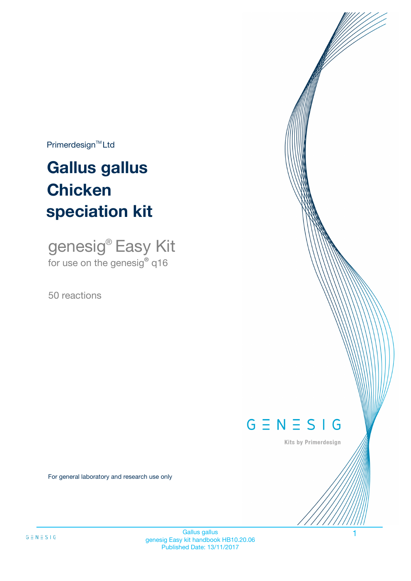$Primerdesign^{\text{TM}}Ltd$ 

# **Gallus gallus speciation kit Chicken**

genesig® Easy Kit for use on the genesig**®** q16

50 reactions



Kits by Primerdesign

For general laboratory and research use only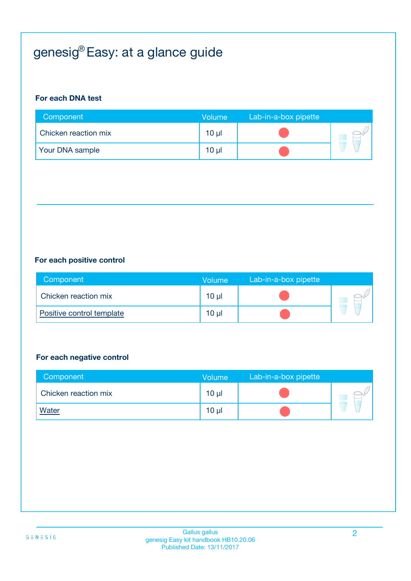# genesig® Easy: at a glance guide

#### **For each DNA test**

| Component            | <b>Volume</b>   | Lab-in-a-box pipette |  |
|----------------------|-----------------|----------------------|--|
| Chicken reaction mix | 10 <sub>µ</sub> |                      |  |
| Your DNA sample      | 10 <sub>µ</sub> |                      |  |

#### **For each positive control**

| Component                 | Volume          | Lab-in-a-box pipette |  |
|---------------------------|-----------------|----------------------|--|
| Chicken reaction mix      | 10 <sub>µ</sub> |                      |  |
| Positive control template | 10 <sub>µ</sub> |                      |  |

#### **For each negative control**

| Component            | <b>Volume</b>   | Lab-in-a-box pipette |  |
|----------------------|-----------------|----------------------|--|
| Chicken reaction mix | $10 \mu$        |                      |  |
| <b>Water</b>         | 10 <sub>µ</sub> |                      |  |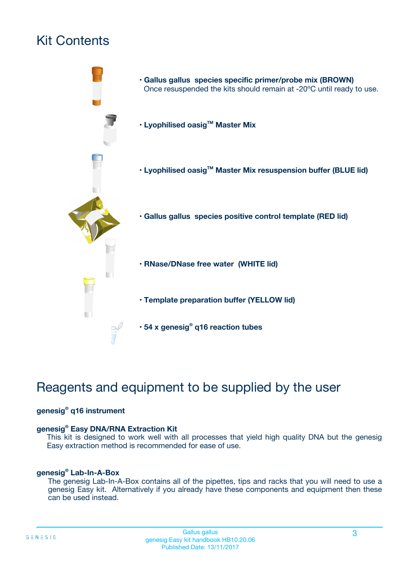# Kit Contents



# Reagents and equipment to be supplied by the user

#### **genesig® q16 instrument**

#### **genesig® Easy DNA/RNA Extraction Kit**

This kit is designed to work well with all processes that yield high quality DNA but the genesig Easy extraction method is recommended for ease of use.

#### **genesig® Lab-In-A-Box**

The genesig Lab-In-A-Box contains all of the pipettes, tips and racks that you will need to use a genesig Easy kit. Alternatively if you already have these components and equipment then these can be used instead.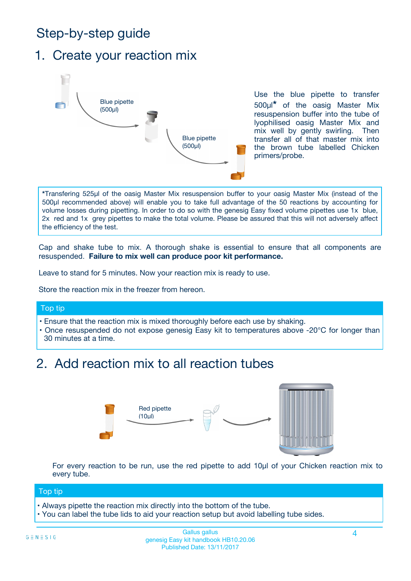# Step-by-step guide

### 1. Create your reaction mix



Use the blue pipette to transfer 500µl**\*** of the oasig Master Mix resuspension buffer into the tube of lyophilised oasig Master Mix and mix well by gently swirling. Then transfer all of that master mix into the brown tube labelled Chicken primers/probe.

**\***Transfering 525µl of the oasig Master Mix resuspension buffer to your oasig Master Mix (instead of the 500µl recommended above) will enable you to take full advantage of the 50 reactions by accounting for volume losses during pipetting. In order to do so with the genesig Easy fixed volume pipettes use 1x blue, 2x red and 1x grey pipettes to make the total volume. Please be assured that this will not adversely affect the efficiency of the test.

Cap and shake tube to mix. A thorough shake is essential to ensure that all components are resuspended. **Failure to mix well can produce poor kit performance.**

Leave to stand for 5 minutes. Now your reaction mix is ready to use.

Store the reaction mix in the freezer from hereon.

#### Top tip

- Ensure that the reaction mix is mixed thoroughly before each use by shaking.
- **•** Once resuspended do not expose genesig Easy kit to temperatures above -20°C for longer than 30 minutes at a time.

# 2. Add reaction mix to all reaction tubes



For every reaction to be run, use the red pipette to add 10µl of your Chicken reaction mix to every tube.

#### Top tip

- Always pipette the reaction mix directly into the bottom of the tube.
- You can label the tube lids to aid your reaction setup but avoid labelling tube sides.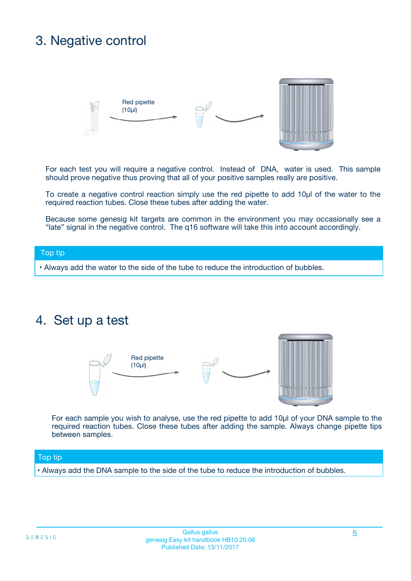## 3. Negative control



For each test you will require a negative control. Instead of DNA, water is used. This sample should prove negative thus proving that all of your positive samples really are positive.

To create a negative control reaction simply use the red pipette to add 10µl of the water to the required reaction tubes. Close these tubes after adding the water.

Because some genesig kit targets are common in the environment you may occasionally see a "late" signal in the negative control. The q16 software will take this into account accordingly.

#### Top tip

**•** Always add the water to the side of the tube to reduce the introduction of bubbles.

### 4. Set up a test



For each sample you wish to analyse, use the red pipette to add 10µl of your DNA sample to the required reaction tubes. Close these tubes after adding the sample. Always change pipette tips between samples.

#### Top tip

**•** Always add the DNA sample to the side of the tube to reduce the introduction of bubbles.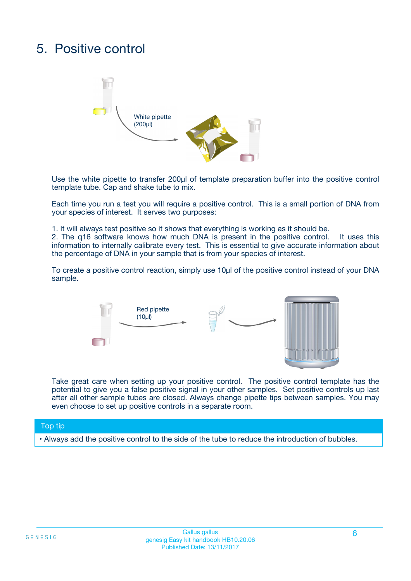# 5. Positive control



Use the white pipette to transfer 200µl of template preparation buffer into the positive control template tube. Cap and shake tube to mix.

Each time you run a test you will require a positive control. This is a small portion of DNA from your species of interest. It serves two purposes:

1. It will always test positive so it shows that everything is working as it should be.

2. The q16 software knows how much DNA is present in the positive control. It uses this information to internally calibrate every test. This is essential to give accurate information about the percentage of DNA in your sample that is from your species of interest.

To create a positive control reaction, simply use 10µl of the positive control instead of your DNA sample.



Take great care when setting up your positive control. The positive control template has the potential to give you a false positive signal in your other samples. Set positive controls up last after all other sample tubes are closed. Always change pipette tips between samples. You may even choose to set up positive controls in a separate room.

#### Top tip

**•** Always add the positive control to the side of the tube to reduce the introduction of bubbles.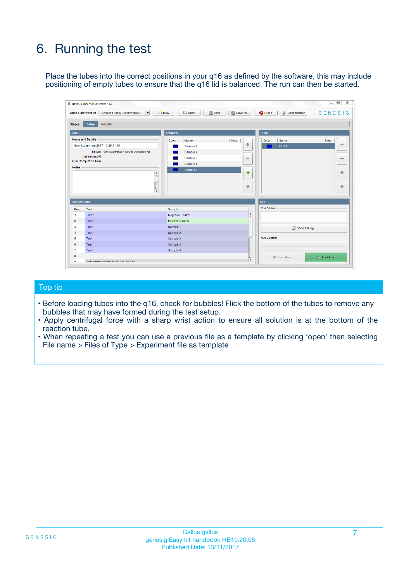# 6. Running the test

Place the tubes into the correct positions in your q16 as defined by the software, this may include positioning of empty tubes to ensure that the q16 lid is balanced. The run can then be started.

|                                    | genesig q16 PCR software - 1.2                                                    |                                     |                              |                                   | $\Box$<br>$\Sigma$           |
|------------------------------------|-----------------------------------------------------------------------------------|-------------------------------------|------------------------------|-----------------------------------|------------------------------|
|                                    | <b>Open Experiments:</b><br>Unsaved (New Experiment 2<br>$\overline{\phantom{a}}$ | <b>E</b> Open<br>Save<br>$\Box$ New | Save As                      | <b>C</b> Close<br>& Configuration | $G \equiv N \equiv S \mid G$ |
| Stages:                            | Setup<br><b>Results</b>                                                           |                                     |                              |                                   |                              |
| <b>Notes</b>                       |                                                                                   | <b>Samples</b>                      |                              | <b>Tests</b>                      |                              |
|                                    | <b>Name and Details</b>                                                           | Color<br>Name                       | Note                         | Color<br>Name                     | Note                         |
|                                    | New Experiment 2017-10-26 11:06                                                   | Sample 1                            | 유                            | Test <sub>1</sub>                 | ÷                            |
|                                    | Kit type: genesig® Easy Target Detection kit                                      | Sample 2                            |                              |                                   |                              |
|                                    | Instrument Id.:                                                                   | Sample 3                            | $\qquad \qquad \blacksquare$ |                                   | $\qquad \qquad \blacksquare$ |
|                                    | <b>Run Completion Time:</b>                                                       | Sample 4                            |                              |                                   |                              |
| <b>Notes</b>                       | $\blacktriangle$                                                                  | Sample 5                            | ♠<br>÷                       |                                   | 41<br>€                      |
| <b>Well Contents</b>               | $\overline{\mathbf{v}}$                                                           |                                     |                              | <b>Run</b>                        |                              |
| Pos.                               | Test                                                                              | Sample                              |                              | <b>Run Status</b>                 |                              |
| 1                                  | Test 1                                                                            | <b>Negative Control</b>             | $\blacktriangle$             |                                   |                              |
| $\overline{2}$                     | Test 1                                                                            | <b>Positive Control</b>             |                              |                                   |                              |
| 3                                  | Test 1                                                                            | Sample 1                            |                              | Show full log                     |                              |
|                                    | Test 1                                                                            | Sample 2                            |                              |                                   |                              |
|                                    |                                                                                   | Sample 3                            |                              | <b>Run Control</b>                |                              |
|                                    | Test 1                                                                            |                                     |                              |                                   |                              |
|                                    | Test 1                                                                            | Sample 4                            |                              |                                   |                              |
|                                    | Test 1                                                                            | Sample 5                            |                              |                                   |                              |
| 4<br>5<br>6<br>$\overline{7}$<br>8 |                                                                                   |                                     | $\overline{\mathbf v}$       | Abort Run                         | $\triangleright$ Start Run   |

#### Top tip

- Before loading tubes into the q16, check for bubbles! Flick the bottom of the tubes to remove any bubbles that may have formed during the test setup.
- Apply centrifugal force with a sharp wrist action to ensure all solution is at the bottom of the reaction tube.
- When repeating a test you can use a previous file as a template by clicking 'open' then selecting File name > Files of Type > Experiment file as template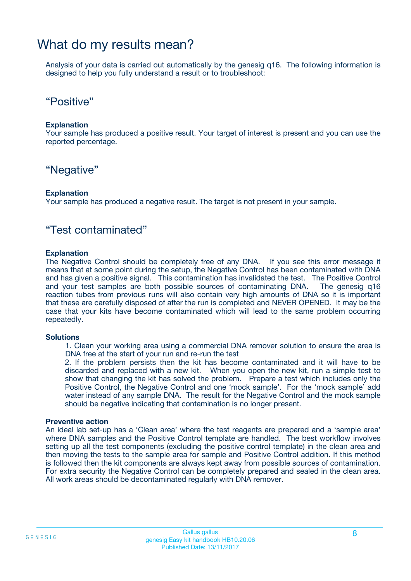### What do my results mean?

Analysis of your data is carried out automatically by the genesig q16. The following information is designed to help you fully understand a result or to troubleshoot:

### "Positive"

#### **Explanation**

Your sample has produced a positive result. Your target of interest is present and you can use the reported percentage.

### "Negative"

#### **Explanation**

Your sample has produced a negative result. The target is not present in your sample.

### "Test contaminated"

#### **Explanation**

The Negative Control should be completely free of any DNA. If you see this error message it means that at some point during the setup, the Negative Control has been contaminated with DNA and has given a positive signal. This contamination has invalidated the test. The Positive Control and your test samples are both possible sources of contaminating DNA. The genesig q16 reaction tubes from previous runs will also contain very high amounts of DNA so it is important that these are carefully disposed of after the run is completed and NEVER OPENED. It may be the case that your kits have become contaminated which will lead to the same problem occurring repeatedly.

#### **Solutions**

1. Clean your working area using a commercial DNA remover solution to ensure the area is DNA free at the start of your run and re-run the test

2. If the problem persists then the kit has become contaminated and it will have to be discarded and replaced with a new kit. When you open the new kit, run a simple test to show that changing the kit has solved the problem. Prepare a test which includes only the Positive Control, the Negative Control and one 'mock sample'. For the 'mock sample' add water instead of any sample DNA. The result for the Negative Control and the mock sample should be negative indicating that contamination is no longer present.

#### **Preventive action**

An ideal lab set-up has a 'Clean area' where the test reagents are prepared and a 'sample area' where DNA samples and the Positive Control template are handled. The best workflow involves setting up all the test components (excluding the positive control template) in the clean area and then moving the tests to the sample area for sample and Positive Control addition. If this method is followed then the kit components are always kept away from possible sources of contamination. For extra security the Negative Control can be completely prepared and sealed in the clean area. All work areas should be decontaminated regularly with DNA remover.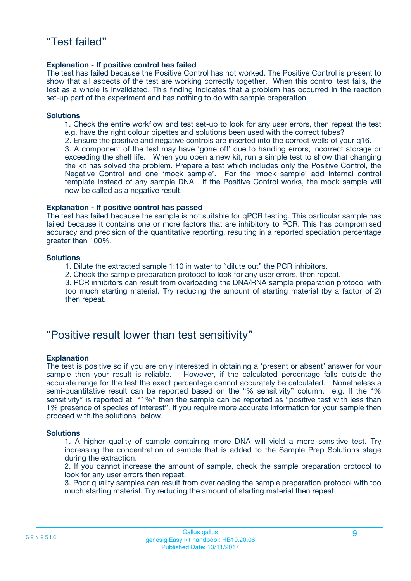#### **Explanation - If positive control has failed**

The test has failed because the Positive Control has not worked. The Positive Control is present to show that all aspects of the test are working correctly together. When this control test fails, the test as a whole is invalidated. This finding indicates that a problem has occurred in the reaction set-up part of the experiment and has nothing to do with sample preparation.

#### **Solutions**

- 1. Check the entire workflow and test set-up to look for any user errors, then repeat the test e.g. have the right colour pipettes and solutions been used with the correct tubes?
- 2. Ensure the positive and negative controls are inserted into the correct wells of your q16.

3. A component of the test may have 'gone off' due to handing errors, incorrect storage or exceeding the shelf life. When you open a new kit, run a simple test to show that changing the kit has solved the problem. Prepare a test which includes only the Positive Control, the Negative Control and one 'mock sample'. For the 'mock sample' add internal control template instead of any sample DNA. If the Positive Control works, the mock sample will now be called as a negative result.

#### **Explanation - If positive control has passed**

The test has failed because the sample is not suitable for qPCR testing. This particular sample has failed because it contains one or more factors that are inhibitory to PCR. This has compromised accuracy and precision of the quantitative reporting, resulting in a reported speciation percentage greater than 100%.

#### **Solutions**

- 1. Dilute the extracted sample 1:10 in water to "dilute out" the PCR inhibitors.
- 2. Check the sample preparation protocol to look for any user errors, then repeat.

3. PCR inhibitors can result from overloading the DNA/RNA sample preparation protocol with too much starting material. Try reducing the amount of starting material (by a factor of 2) then repeat.

### "Positive result lower than test sensitivity"

#### **Explanation**

The test is positive so if you are only interested in obtaining a 'present or absent' answer for your sample then your result is reliable. However, if the calculated percentage falls outside the accurate range for the test the exact percentage cannot accurately be calculated. Nonetheless a semi-quantitative result can be reported based on the "% sensitivity" column. e.g. If the "% sensitivity" is reported at "1%" then the sample can be reported as "positive test with less than 1% presence of species of interest". If you require more accurate information for your sample then proceed with the solutions below.

#### **Solutions**

1. A higher quality of sample containing more DNA will yield a more sensitive test. Try increasing the concentration of sample that is added to the Sample Prep Solutions stage during the extraction.

2. If you cannot increase the amount of sample, check the sample preparation protocol to look for any user errors then repeat.

3. Poor quality samples can result from overloading the sample preparation protocol with too much starting material. Try reducing the amount of starting material then repeat.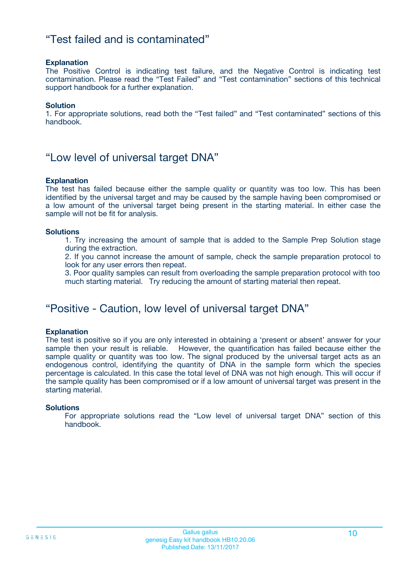### "Test failed and is contaminated"

#### **Explanation**

The Positive Control is indicating test failure, and the Negative Control is indicating test contamination. Please read the "Test Failed" and "Test contamination" sections of this technical support handbook for a further explanation.

#### **Solution**

1. For appropriate solutions, read both the "Test failed" and "Test contaminated" sections of this handbook.

### "Low level of universal target DNA"

#### **Explanation**

The test has failed because either the sample quality or quantity was too low. This has been identified by the universal target and may be caused by the sample having been compromised or a low amount of the universal target being present in the starting material. In either case the sample will not be fit for analysis.

#### **Solutions**

1. Try increasing the amount of sample that is added to the Sample Prep Solution stage during the extraction.

2. If you cannot increase the amount of sample, check the sample preparation protocol to look for any user errors then repeat.

3. Poor quality samples can result from overloading the sample preparation protocol with too much starting material. Try reducing the amount of starting material then repeat.

### "Positive - Caution, low level of universal target DNA"

#### **Explanation**

The test is positive so if you are only interested in obtaining a 'present or absent' answer for your sample then your result is reliable. However, the quantification has failed because either the sample quality or quantity was too low. The signal produced by the universal target acts as an endogenous control, identifying the quantity of DNA in the sample form which the species percentage is calculated. In this case the total level of DNA was not high enough. This will occur if the sample quality has been compromised or if a low amount of universal target was present in the starting material.

#### **Solutions**

For appropriate solutions read the "Low level of universal target DNA" section of this handbook.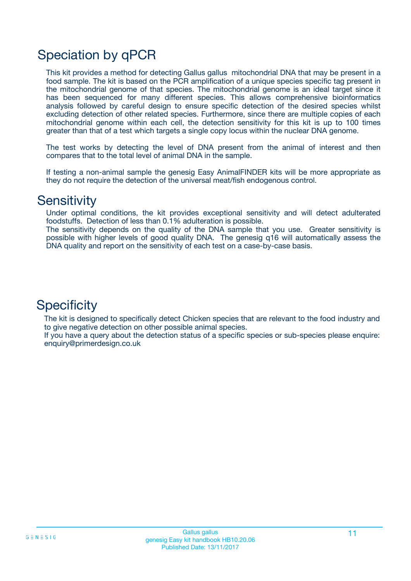# Speciation by qPCR

This kit provides a method for detecting Gallus gallus mitochondrial DNA that may be present in a food sample. The kit is based on the PCR amplification of a unique species specific tag present in the mitochondrial genome of that species. The mitochondrial genome is an ideal target since it has been sequenced for many different species. This allows comprehensive bioinformatics analysis followed by careful design to ensure specific detection of the desired species whilst excluding detection of other related species. Furthermore, since there are multiple copies of each mitochondrial genome within each cell, the detection sensitivity for this kit is up to 100 times greater than that of a test which targets a single copy locus within the nuclear DNA genome.

The test works by detecting the level of DNA present from the animal of interest and then compares that to the total level of animal DNA in the sample.

If testing a non-animal sample the genesig Easy AnimalFINDER kits will be more appropriate as they do not require the detection of the universal meat/fish endogenous control.

### **Sensitivity**

Under optimal conditions, the kit provides exceptional sensitivity and will detect adulterated foodstuffs. Detection of less than 0.1% adulteration is possible.

The sensitivity depends on the quality of the DNA sample that you use. Greater sensitivity is possible with higher levels of good quality DNA. The genesig q16 will automatically assess the DNA quality and report on the sensitivity of each test on a case-by-case basis.

### **Specificity**

The kit is designed to specifically detect Chicken species that are relevant to the food industry and to give negative detection on other possible animal species.

If you have a query about the detection status of a specific species or sub-species please enquire: enquiry@primerdesign.co.uk